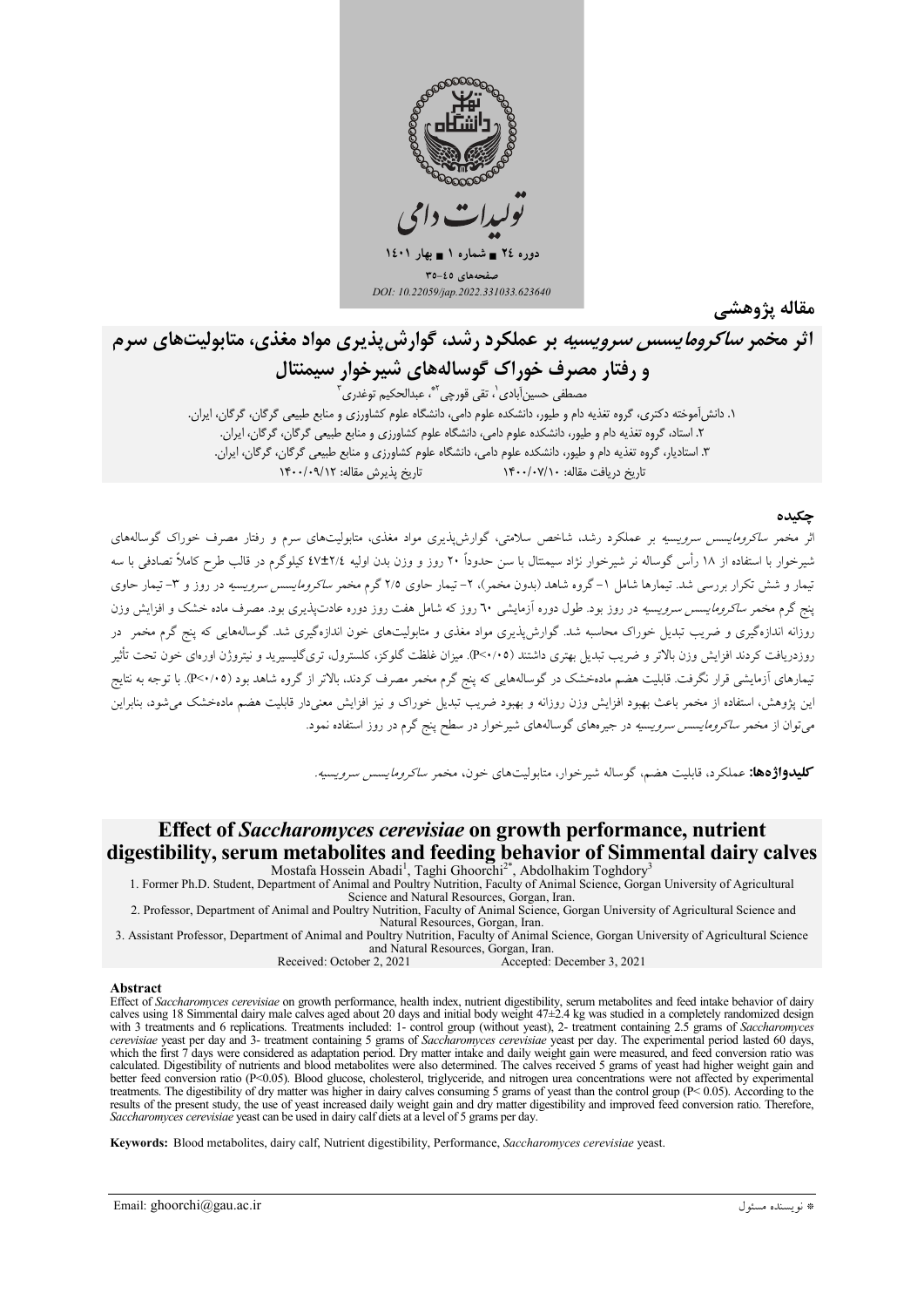

مقاله پژوهشے

# اثر مخمر *ساکرومایسس سرویسیه* بر عملکرد رشد، گوارش پذیری مواد مغذی، متابولیتهای سرم و رفتار مصرف خوراک گوسالههای شیرخوار سیمنتال مصطفى حسين]بادى`، تقى قورچى<sup>٢</sup>ّ، عبدالحكيم توغدرى ً

۱. دانش آموخته دکتری، گروه تغذیه دام و طیور، دانشکده علوم دامی، دانشگاه علوم کشاورزی و منابع طبیعی گرگان، گرگان، ایران. .<br>۲. استاد، گروه تغذیه دام و طیور، دانشکده علوم دامی، دانشگاه علوم کشاورزی و منابع طبیعی گرگان، گرگان، ایران. ۳. استادیار، گروه تغذیه دام و طیور، دانشکده علوم دامی، دانشگاه علوم کشاورزی و منابع طبیعی گرگان، گرگان، ایران. تاریخ دریافت مقاله: ۱۴۰۰/۰۷/۱۰ ۱۴۰۰/۰۷

### حكىدە

اثر مخمر *ساکرومایسس سرویسیه* بر عملکرد رشد، شاخص سلامتی، گوارش،پذیری مواد مغذی، متابولیتهای سرم و رفتار مصرف خوراک گوسالههای شیرخوار با استفاده از ۱۸ رأس گوساله نر شیرخوار نژاد سیمتال با سن حدوداً ۲۰ روز و وزن بدن اولیه ۲/٤±٤٧ کیلوگرم در قالب طرح کاملاً تصادفی با سه تیمار و شش تکرار بررسی شد. تیمارها شامل ۱–گروه شاهد (بدون مخمر)، ۲– تیمار حاوی ۲/۵ گرم مخمر *ساکرومایسس سرویسیه* در روز و ۳–تیمار حاوی ینج گرم مخمر *ساکرومایسس سرویسیه* در روز بود. طول دوره آزمایشی ٦٠ روز که شامل هفت روز دوره عادتیذیری بود. مصرف ماده خشک و افزایش وزن روزانه اندازهگیری و ضریب تبدیل خوراک محاسبه شد. گوارش پذیری مواد مغذی و متابولیتهای خون اندازهگیری شد. گوسالههایی که پنج گرم مخمر ً در روزدریافت کردند افزایش وزن بالاتر و ضریب تبدیل بهتری داشتند (۴<۰/۰۰). میزان غلظت گلوکز، کلسترول، تریگلیسیرید و نیتروژن اورهای خون تحت تأثیر تیمارهای آزمایشی قرار نگرفت. قابلیت هضم مادهخشک در گوسالههایی که پنج گرم مخمر مصرف کردند، بالاتر از گروه شاهد بود (۴<۰/۰۵). با توجه به نتایج این پژوهش، استفاده از مخمر باعث بهبود افزایش وزن روزانه و بهبود ضریب تبدیل خوراک و نیز افزایش معنیدار قابلیت هضم مادهخشک می شود، بنابراین می توان از مخمر *ساکرومایسس سرویسیه* در جیرههای گوسالههای شیرخوار در سطح پنج گرم در روز استفاده نمود.

كليدواژهها: عملكرد، قابليت هضم، گوساله شيرخوار، متابوليتهاى خون، مخمر *ساكرومايسس سرويسيه.* 

## Effect of Saccharomyces cerevisiae on growth performance, nutrient digestibility, serum metabolites and feeding behavior of Simmental dairy calves

Mostafa Hossein Abadi<sup>1</sup>, Taghi Ghoorchi<sup>2\*</sup>, Abdolhakim Toghdory<sup>3</sup> 1. Former Ph.D. Student, Department of Animal and Poultry Nutrition, Faculty of Animal Science, Gorgan University of Agricultural

Science and Natural Resources, Gorgan, Iran 2. Professor, Department of Animal and Poultry Nutrition, Faculty of Animal Science, Gorgan University of Agricultural Science and

Natural Resources, Gorgan, Iran. 3. Assistant Professor, Department of Animal and Poultry Nutrition, Faculty of Animal Science, Gorgan University of Agricultural Science and Natural Resources, Gorgan, Iran.

Received: October 2, 2021

Accepted: December 3, 2021

#### **Abstract**

Effect of Saccharomyces cerevisiae on growth performance, health index, nutrient digestibility, serum metabolites and feed intake behavior of dairy calves using 18 Simmental dairy male calves aged about 20 days and initial with 3 treatments and 6 replications. Treatments included: 1- control group (without yeast), 2- treatment containing 2.5 grams of Saccharomyces cerevisiae yeast per day and 3- treatment containing 5 grams of Saccharomyces cerevisiae yeast per day. The experimental period lasted 60 days, which the first 7 days were considered as adaptation period. Dry matter intake and daily weight gain were measured, and feed conversion ratio was calculated. Digestibility of nutrients and blood metabolites were also determined. The calves received 5 grams of yeast had higher weight gain and better feed conversion ratio (P<0.05). Blood glucose, cholesterol, triglyceride, and nitrogen urea concentrations were not affected by experimental between rotations rates ( $\frac{1}{2}$  of dry matter was higher in dairy calves consuming 5 grams of year than the control group ( $P< 0.05$ ). According to the results of the present study, the use of years increased daily wei Saccharomyces cerevisiae yeast can be used in dairy calf diets at a level of 5 grams per day.

Keywords: Blood metabolites, dairy calf, Nutrient digestibility, Performance, Saccharomyces cerevisiae yeast.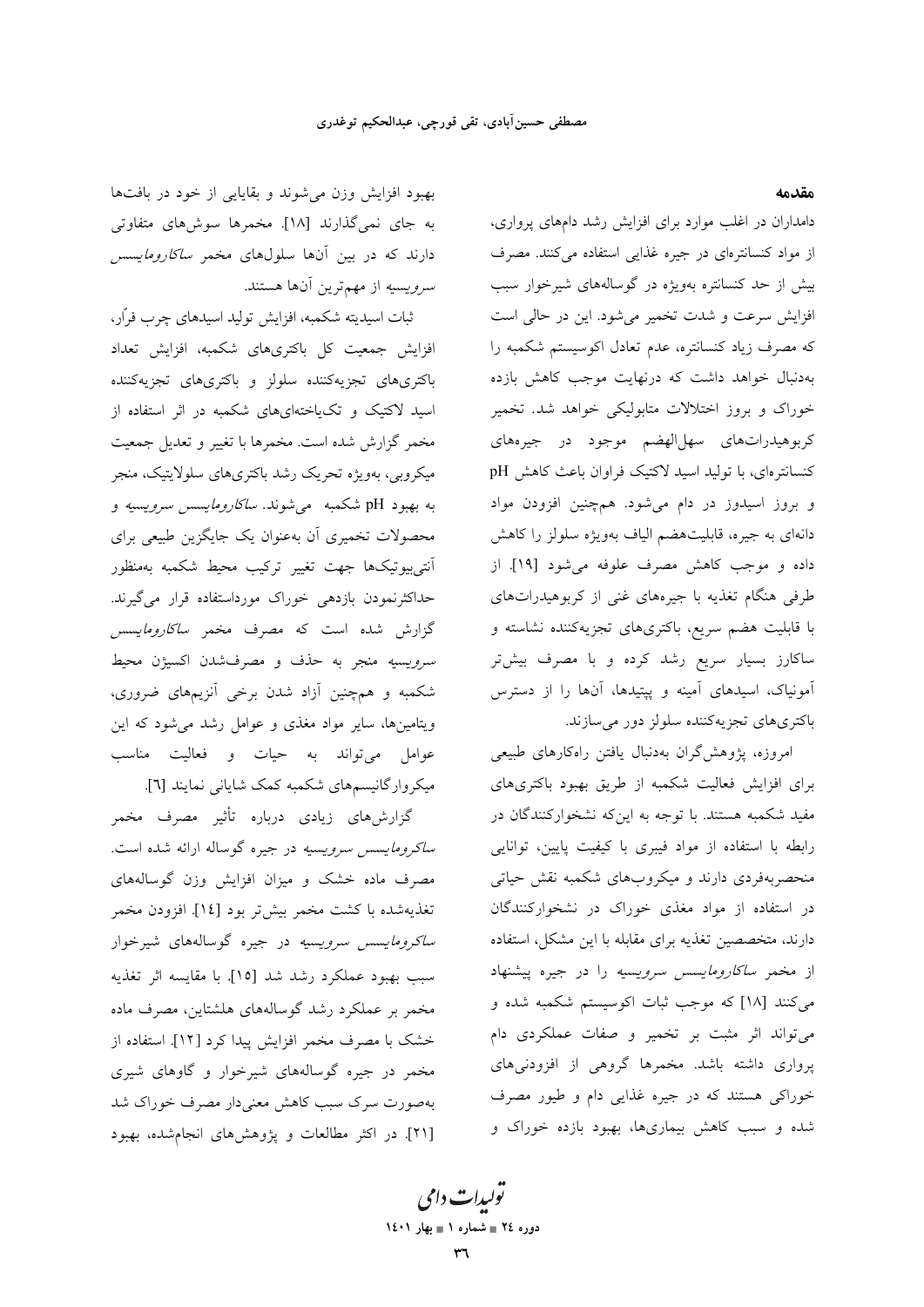مقدمه

دامداران در اغلب موارد برای افزایش رشد دامهای پرواری، از مواد کنسانترهای در جیره غذایی استفاده میکنند. مصرف بیش از حد کنسانتره بهویژه در گوسالههای شیرخوار سبب افزایش سرعت و شدت تخمیر می شود. این در حالی است كه مصرف زياد كنسانتره، عدم تعادل اكوسيستم شكمبه را بهدنبال خواهد داشت که درنهایت موجب کاهش بازده خوراک و بروز اختلالات متابولیکی خواهد شد. تخمیر کربوهیدراتهای سهل|لهضم موجود در جیرههای کنسانترهای، با تولید اسید لاکتیک فراوان باعث کاهش pH و بروز اسیدوز در دام میشود. همچنین افزودن مواد دانهای به جیره، قابلیتهضم الیاف بهویژه سلولز را کاهش داده و موجب كاهش مصرف علوفه مى شود [١٩]. از طرفی هنگام تغذیه با جیرههای غنی از کربوهیدراتهای با قابلیت هضم سریع، باکتریهای تجزیهکننده نشاسته و ساکارز بسیار سریع رشد کرده و با مصرف بیشتر آمونیاک، اسیدهای آمینه و پپتیدها، آنها را از دسترس باکتریهای تجزیهکننده سلولز دور میسازند.

امروزه، پژوهش گران بهدنبال یافتن راهکارهای طبیعی برای افزایش فعالیت شکمبه از طریق بهبود باکتریهای مفید شکمبه هستند. با توجه به این۵ نشخوارکنندگان در رابطه با استفاده از مواد فيبرى با كيفيت پايين، توانايي منحصربهفردی دارند و میکروبهای شکمبه نقش حیاتی در استفاده از مواد مغذی خوراک در نشخوارکنندگان دارند، متخصصین تغذیه برای مقابله با این مشکل، استفاده از مخمر *ساكارومايسس سرويسيه* را در جيره پيشنهاد میکنند [۱۸] که موجب ثبات اکوسیستم شکمبه شده و می تواند اثر مثبت بر تخمیر و صفات عملکردی دام پرواری داشته باشد. مخمرها گروهی از افزودنیهای خوراکی هستند که در جیره غذایی دام و طیور مصرف شده و سبب کاهش بیماریها، بهبود بازده خوراک و

بهبود افزایش وزن میشوند و بقایایی از خود در بافتها به جای نمیگذارند [۱۸]. مخمرها سوشهای متفاوتی دارند که در بین آنها سلولهای مخمر *ساکارومایسس سرویسیه* از مهمترین آنها هستند.

ثبات اسيديته شكمبه، افزايش توليد اسيدهاي چرب فرّار، افزایش جمعیت کل باکتریهای شکمبه، افزایش تعداد باکتریهای تجزیهکننده سلولز و باکتریهای تجزیهکننده اسید لاکتیک و تکیاختهایهای شکمبه در اثر استفاده از مخمر گزارش شده است. مخمرها با تغییر و تعدیل جمعیت میکروبی، بهویژه تحریک رشد باکتریهای سلولایتیک، منجر به بهبود pH شکمبه ً می شوند. *ساکارومایسس سرویسیه* و محصولات تخمیری آن بهعنوان یک جایگزین طبیعی برای أنتى بيوتيكها جهت تغيير تركيب محيط شكمبه بهمنظور حداکثرنمودن بازده<sub>ی</sub> خوراک مورداستفاده قرار م*ی گ*یرند. گزارش شده است که مصرف مخمر *ساکارومایسس سرويسيه منج*ر به حذف و مصرفشدن اكسيژن محيط شکمبه و همچنین آزاد شدن برخی آنزیمهای ضروری، ویتامینها، سایر مواد مغذی و عوامل رشد می شود که این عوامل میتواند به حیات و فعالیت مناسب میکروارگانیسمهای شکمبه کمک شایانی نمایند [٦].

گزارش،های زیادی درباره تأثیر مصرف مخمر *ساکرومایسس سرویسیه* در جیره گوساله ارائه شده است. مصرف ماده خشک و میزان افزایش وزن گوسالههای تغذيهشده با كشت مخمر بيشتر بود [١٤]. افزودن مخمر *ساکرومایسس سرویسیه* در جیره گوسالههای شیرخوار سبب بهبود عملكرد رشد شد [١٥]. با مقايسه اثر تغذيه مخمر بر عملکرد رشد گوسالههای هلشتاین، مصرف ماده خشک با مصرف مخمر افزایش پیدا کرد [۱۲]. استفاده از مخمر در جیره گوسالههای شیرخوار و گاوهای شیری بهصورت سرک سبب کاهش معنیدار مصرف خوراک شد [٢١]. در اكثر مطالعات و يؤوهشهاى انجامشده، بهبود

تو*لیدات دامی* دوره ٢٤ = شماره ١ = بهار ١٤٠١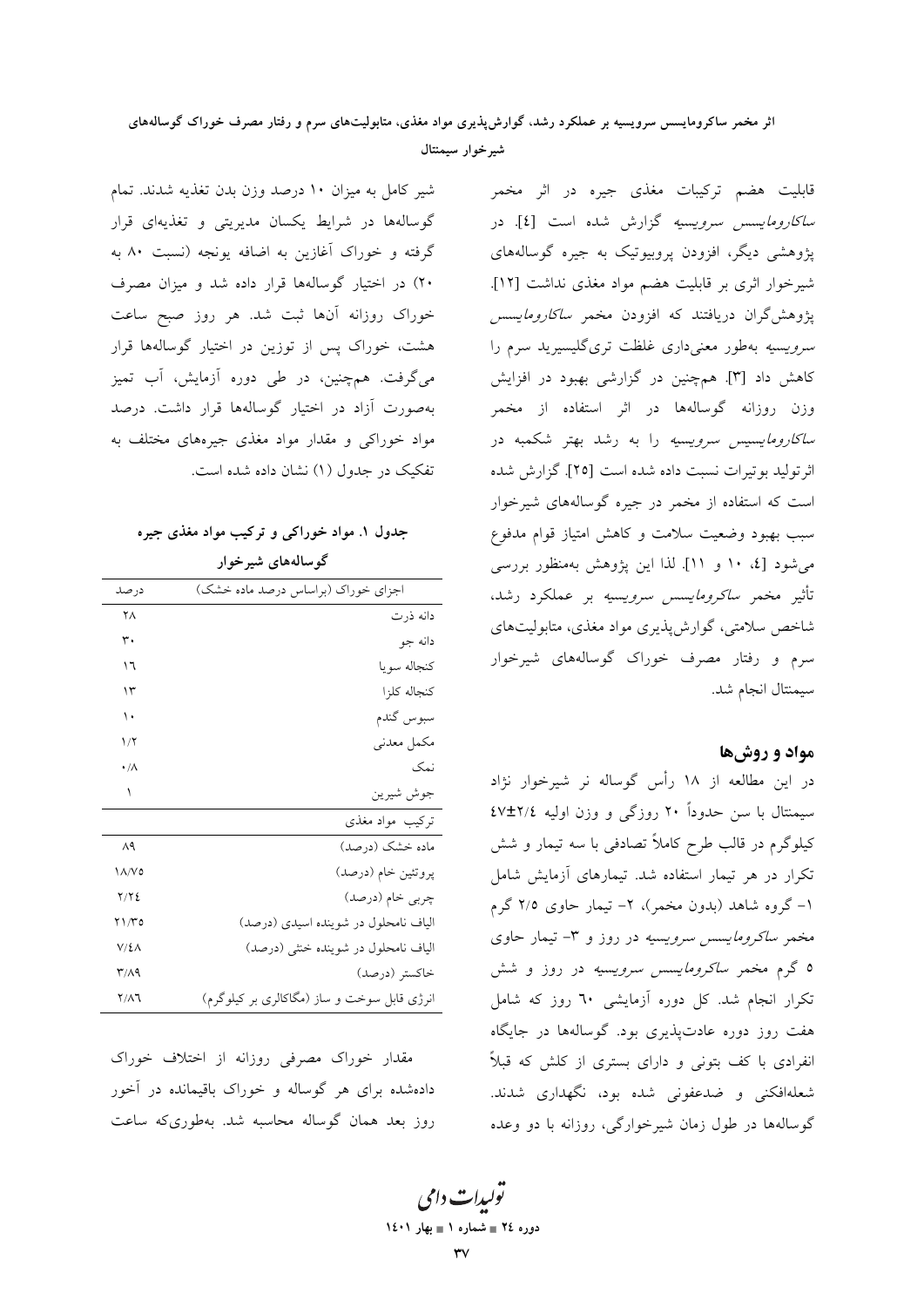### اثر مخمر ساکرومایسس سرویسیه بر عملکرد رشد، گوارش پذیری مواد مغذی، متابولیتهای سرم و رفتار مصرف خوراک گوسالههای شيرخوار سيمنتال

شیر کامل به میزان ١٠ درصد وزن بدن تغذیه شدند. تمام گوسالهها در شرایط یکسان مدیریتی و تغذیهای قرار گرفته و خوراک آغازین به اضافه یونجه (نسبت ۸۰ به ۲۰) در اختیار گوسالهها قرار داده شد و میزان مصرف خوراک روزانه آنها ثبت شد. هر روز صبح ساعت هشت، خوراک پس از توزین در اختیار گوسالهها قرار می گرفت. همچنین، در طی دوره آزمایش، آب تمیز بهصورت آزاد در اختیار گوسالهها قرار داشت. درصد مواد خوراکی و مقدار مواد مغذی جیرههای مختلف به تفکیک در جدول (۱) نشان داده شده است.

جدول ۱. مواد خوراکی و ترکیب مواد مغذی جیره گو سالههای شیر خوار

| در صد           | اجزای خوراک (براساس درصد ماده خشک)          |
|-----------------|---------------------------------------------|
| ۲٨              | دانه ذرت                                    |
| ۳.              | دانه جو                                     |
| ١٦              | كنجاله سويا                                 |
| ۱۳              | كنجاله كلزا                                 |
| ١.              | سبوس گندم                                   |
| ۱۱۲             | مكمل معدني                                  |
| $\cdot/\Lambda$ | نمک                                         |
| ١               | جوش شيرين                                   |
|                 | ترکیب مواد مغذی                             |
| $\wedge$ ٩      | ماده خشک (درصد)                             |
| ۱۸/۷۵           | پروتئين خام (درصد)                          |
| Y/Y             | چربی خام (درصد)                             |
| ۲۱/۳۵           | الیاف نامحلول در شوینده اسیدی (درصد)        |
| V/L             | الیاف نامحلول در شوینده خنثی (درصد)         |
| ۳/۸۹            | خاكستر (درصد)                               |
| ۲/۸٦            | انرژی قابل سوخت و ساز (مگاکالری بر کیلوگرم) |

مقدار خوراک مصرفی روزانه از اختلاف خوراک دادهشده برای هر گوساله و خوراک باقیمانده در آخور روز بعد همان گوساله محاسبه شد. بهطوریکه ساعت

قابلیت هضم ترکیبات مغذی جیره در اثر مخمر *ساكارومايسس سرويسيه* گزارش شده است [٤]. در پژوهشی دیگر، افزودن پروبیوتیک به جیره گوسالههای شيرخوار اثري بر قابليت هضم مواد مغذي نداشت [١٢]. یژوهش گران دریافتند که افزودن مخمر *ساکارومایسس سرویسیه* بهطور معنیداری غلظت تری گلیسیرید سرم را کاهش داد [۳]. همچنین در گزارشی بهبود در افزایش وزن روزانه گوسالهها در اثر استفاده از مخمر *ساكارومايسيس سرويسيه* را به رشد بهتر شكمبه در اثر توليد بوتيرات نسبت داده شده است [٢٥]. گزارش شده است که استفاده از مخمر در جیره گوسالههای شیرخوار سبب بهبود وضعیت سلامت و کاهش امتیاز قوام مدفوع میشود [٤، ١٠ و ١١]. لذا این پژوهش بهمنظور بررسی تأثیر مخمر *ساکرومایسس سرویسیه* بر عملکرد رشد، شاخص سلامتی، گوارش پذیری مواد مغذی، متابولیتهای سرم و رفتار مصرف خوراک گوسالههای شیرخوار سيمنتال انجام شد.

#### مواد و روشها

در این مطالعه از ۱۸ رأس گوساله نر شیرخوار نژاد سیمنتال با سن حدوداً ۲۰ روزگی و وزن اولیه ۲/٤±۲٪ کیلوگرم در قالب طرح کاملاً تصادفی با سه تیمار و شش تکرار در هر تیمار استفاده شد. تیمارهای آزمایش شامل ۱– گروه شاهد (بدون مخمر)، ۲– تیمار حاوی ۲/۵ گرم مخمر *ساکرومایسس سرویسیه* در روز و ۳- تیمار حاوی ۵ گرم مخمر *ساکرومایسس سرویسیه* در روز و شش تکرار انجام شد. کل دوره آزمایشی ٦٠ روز که شامل هفت روز دوره عادتپذیری بود. گوسالهها در جایگاه انفرادی با کف بتونی و دارای بستری از کلش که قبلاً شعلهافکنی و ضدعفونی شده بود، نگهداری شدند. گوسالهها در طول زمان شیرخوارگی، روزانه با دو وعده

تولیدات دامی دوره ٢٤ = شماره ١ = بهار ١٤٠١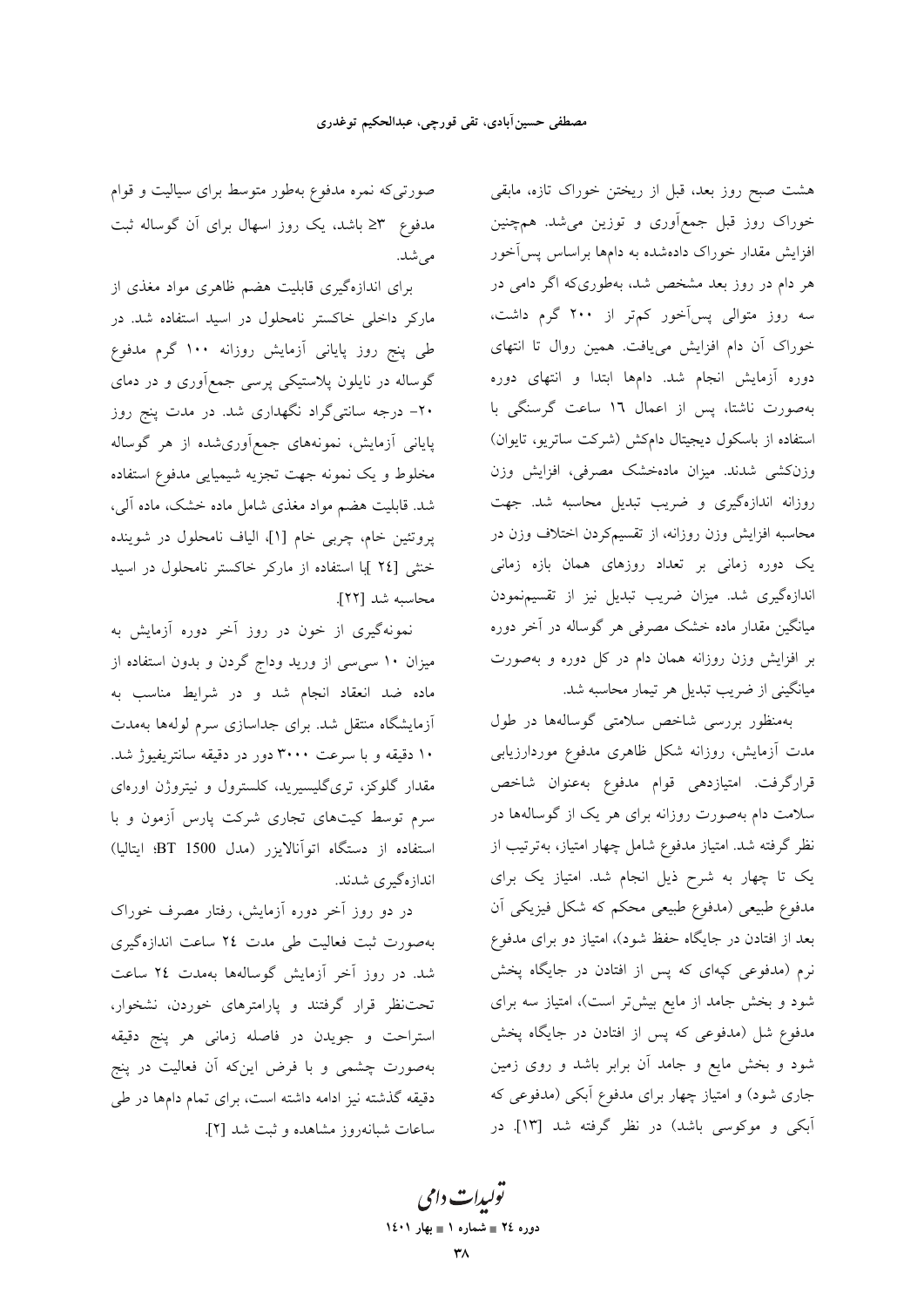هشت صبح روز بعد، قبل از ریختن خوراک تازه، مابقی خوراک روز قبل جمع|َوری و توزین میشد. همچنین افزایش مقدار خوراک دادهشده به دامها براساس پسآخور هر دام در روز بعد مشخص شد، بهطوری که اگر دامی در سه روز متوالی پسآخور کمتر از ۲۰۰ گرم داشت، خوراک آن دام افزایش می یافت. همین روال تا انتهای دوره آزمایش انجام شد. دامها ابتدا و انتهای دوره بهصورت ناشتا، پس از اعمال ١٦ ساعت گرسنگی با استفاده از باسکول دیجیتال دامکش (شرکت ساتریو، تایوان) وزنكشى شدند. ميزان مادهخشك مصرفى، افزايش وزن روزانه اندازهگیری و ضریب تبدیل محاسبه شد. جهت محاسبه افزایش وزن روزانه، از تقسیمکردن اختلاف وزن در یک دوره زمانی بر تعداد روزهای همان بازه زمانی اندازهگیری شد. میزان ضریب تبدیل نیز از تقسیمنمودن میانگین مقدار ماده خشک مصرفی هر گوساله در آخر دوره بر افزایش وزن روزانه همان دام در کل دوره و بهصورت میانگینی از ضریب تبدیل هر تیمار محاسبه شد.

> بهمنظور بررسی شاخص سلامتی گوسالهها در طول مدت آزمایش، روزانه شکل ظاهری مدفوع موردارزیابی قرارگرفت. امتیازدهی قوام مدفوع بهعنوان شاخص سلامت دام بهصورت روزانه برای هر یک از گوسالهها در نظر گرفته شد. امتیاز مدفوع شامل چهار امتیاز، بهترتیب از یک تا چهار به شرح ذیل انجام شد. امتیاز یک برای مدفوع طبیعی (مدفوع طبیعی محکم که شکل فیزیکی آن بعد از افتادن در جایگاه حفظ شود)، امتیاز دو برای مدفوع نرم (مدفوعی کپهای که پس از افتادن در جایگاه پخش شود و بخش جامد از مایع بیشتر است)، امتیاز سه برای مدفوع شل (مدفوعی که پس از افتادن در جایگاه پخش شود و بخش مایع و جامد آن برابر باشد و روی زمین جاری شود) و امتیاز چهار برای مدفوع آبکی (مدفوعی که آبکی و موکوسی باشد) در نظر گرفته شد [۱۳]. در

صورتیکه نمره مدفوع بهطور متوسط برای سیالیت و قوام مدفوع ۳≤ باشد، یک روز اسهال برای آن گوساله ثبت مى شد.

برای اندازهگیری قابلیت هضم ظاهری مواد مغذی از مارکر داخلی خاکستر نامحلول در اسید استفاده شد. در طی پنج روز پایانی آزمایش روزانه ۱۰۰ گرم مدفوع گوساله در نایلون پلاستیکی پرسی جمع[وری و در دمای ۲۰– درجه سانتیگراد نگهداری شد. در مدت پنج روز پایانی آزمایش، نمونههای جمع|َوریشده از هر گوساله مخلوط و یک نمونه جهت تجزیه شیمیایی مدفوع استفاده شد. قابلیت هضم مواد مغذی شامل ماده خشک، ماده آلبی، پروتئین خام، چربی خام [۱]، الیاف نامحلول در شوینده خنثی [٢٤ ]با استفاده از مارکر خاکستر نامحلول در اسید محاسبه شد [٢٢].

نمونهگیری از خون در روز آخر دوره آزمایش به میزان ۱۰ سپیسی از ورید وداج گردن و بدون استفاده از .<br>ماده ضد انعقاد انجام شد و در شرایط مناسب به ۔<br>آزمایشگاہ منتقل شد<sub></sub> برای جداسازی سرم لولهها بهمدت ۱۰ دقیقه و با سرعت ۳۰۰۰ دور در دقیقه سانتریفیوژ شد. مقدار گلوکز، تریگلیسیرید، کلسترول و نیتروژن اورهای سرم توسط کیتهای تجاری شرکت پارس آزمون و با استفاده از دستگاه اتوآنالایزر (مدل 1500 BT؛ ایتالیا) اندازهگیری شدند.

در دو روز آخر دوره آزمایش، رفتار مصرف خوراک بهصورت ثبت فعالیت طی مدت ٢٤ ساعت اندازهگیری شد. در روز آخر آزمایش گوسالهها بهمدت ۲٤ ساعت تحت نظر قرار گرفتند و پارامترهای خوردن، نشخوار، استراحت و جويدن در فاصله زماني هر پنج دقيقه بهصورت چشمی و با فرض اینکه آن فعالیت در پنج دقیقه گذشته نیز ادامه داشته است، برای تمام دامها در طی ساعات شبانهروز مشاهده و ثبت شد [۲].

تو*لیدات دامی* دوره ٢٤ = شماره ١ = بهار ١٤٠١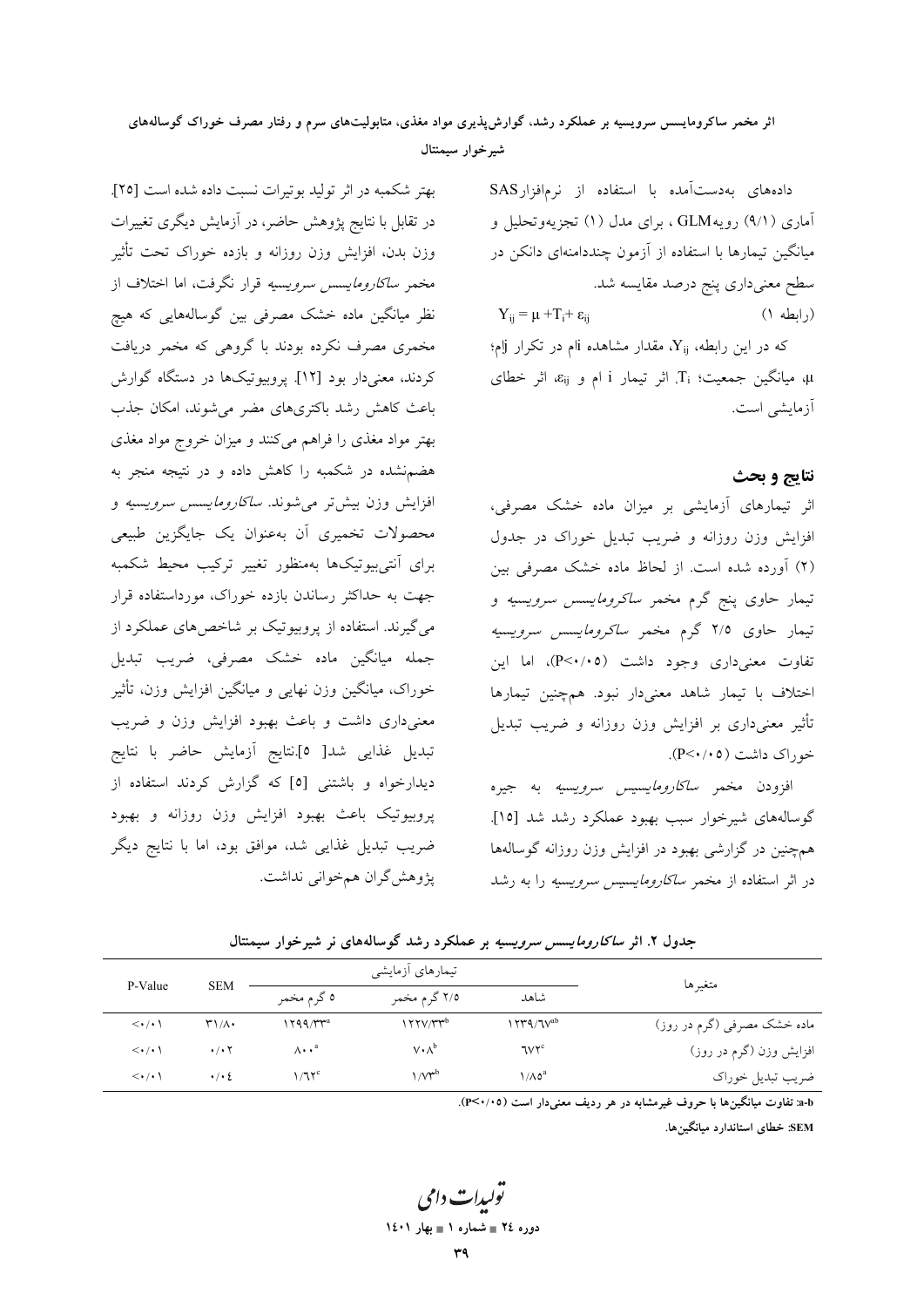### اثر مخمر ساکرومایسس سرویسیه بر عملکرد رشد، گوارش پذیری مواد مغذی، متابولیتهای سرم و رفتار مصرف خوراک گوسالههای شيرخوار سيمنتال

دادههای بهدستآمده با استفاده از نرمافزارSAS آماری (۹/۱) رویهGLM ، برای مدل (۱) تجزیهوتحلیل و میانگین تیمارها با استفاده از آزمون چنددامنهای دانکن در سطح معنیداری پنج درصد مقایسه شد.  $Y_{ii} = \mu + T_i + \varepsilon_{ii}$  $($ ابطه ۱ $)$ 

که در این رابطه، Xij، مقدار مشاهده iام در تکرار زام؛ 4، میانگین جمعیت؛ Ti، اثر تیمار i ام و  $\varepsilon_{ij}$ ، اثر خطای آزمایشی است.

#### نتايج و بحث

اثر تیمارهای آزمایشی بر میزان ماده خشک مصرفی، افزایش وزن روزانه و ضریب تبدیل خوراک در جدول (٢) آورده شده است. از لحاظ ماده خشک مصرفی بین تیمار حاوی پنج گرم مخمر *ساکرومایسس سرویسیه* و تیمار حاوی ۲/۵ گرم مخمر *ساکرومایسس سرویسیه* تفاوت معنی داری وجود داشت (P<۰/۰۵)، اما این اختلاف با تیمار شاهد معنیدار نبود. همچنین تیمارها تأثیر معنیداری بر افزایش وزن روزانه و ضریب تبدیل خوراک داشت (P<۰/۰۵).

افزودن مخمر *ساكارومايسيس سرويسيه* به جيره گوسالههای شیرخوار سبب بهبود عملکرد رشد شد [۱۵]. همچنین در گزارشی بهبود در افزایش وزن روزانه گوسالهها در اثر استفاده از مخمر *ساكارومايسيس سرويسيه* را به رشد

بهتر شکمبه در اثر تولید بوتیرات نسبت داده شده است [۲۵]. در تقابل با نتایج پژوهش حاضر، در آزمایش دیگری تغییرات وزن بدن، افزایش وزن روزانه و بازده خوراک تحت تأثیر مخمر *ساكارومايسس سرويسيه* قرار نگرفت، اما اختلاف از .<br>نظر میانگین ماده خشک مصرفی بین گوسالههایی که هیچ مخمری مصرف نکرده بودند با گروهی که مخمر دریافت کردند، معنیدار بود [۱۲]. پروبیوتیکها در دستگاه گوارش باعث کاهش رشد باکتریهای مضر می شوند. امکان جذب بهتر مواد مغذی را فراهم میکنند و میزان خروج مواد مغذی هضمنشده در شکمبه را کاهش داده و در نتیجه منجر به افزایش وزن بیشتر میشوند*. ساکارومایسس سرویسیه* و محصولات تخمیری أن بهعنوان یک جایگزین طبیعی برای آنتی بیوتیکها بهمنظور تغییر ترکیب محیط شکمبه جهت به حداکثر رساندن بازده خوراک، مورداستفاده قرار می گیرند. استفاده از پروبیوتیک بر شاخص های عملکرد از .<br>جمله میانگین ماده خشک مصرفی، ضریب تبدیل خوراک، میانگین وزن نهایی و میانگین افزایش وزن، تأثیر معنیداری داشت و باعث بهبود افزایش وزن و ضریب تبديل غذايي شد[ ٥].نتايج آزمايش حاضر با نتايج دیدارخواه و باشتنی [٥] که گزارش کردند استفاده از پروبیوتیک باعث بهبود افزایش وزن روزانه و بهبود ضریب تبدیل غذایی شد، موافق بود، اما با نتایج دیگر پژوهش گران همخوانی نداشت.

جدول ۲. اثر *ساكارومايسس سرويسيه* بر عملكرد رشد گوسالههاى نر شيرخوار سيمنتال

|                             |                                   | تیمارهای أزمایشی    |                         |                                                    |                                 |
|-----------------------------|-----------------------------------|---------------------|-------------------------|----------------------------------------------------|---------------------------------|
| متغيرها                     | شاهد                              | ۲/۵ گرم مخمر        | ٥ گرم مخمر              | P-Value<br><b>SEM</b>                              |                                 |
| ماده خشک مصرفی (گرم در روز) | $\gamma_{\rm V}$ ۹/٦۷ $^{\rm ab}$ | $177V/Tr^b$         | ۲۹۹/۳۳ª                 | $\mathsf{r}\setminus\mathsf{r}\setminus\mathsf{r}$ | $\langle \cdot   \cdot \rangle$ |
| افزایش وزن (گرم در روز)     | <b>TVYC</b>                       | $V \cdot \Lambda^b$ | $\Lambda \cdot \cdot^a$ | $\cdot$ / $\cdot$ $\cdot$                          | $\langle \cdot   \cdot \rangle$ |
| ضريب تبديل خوراك            | $1/\Lambda$ 0 <sup>a</sup>        | $1/V^{\rm ub}$      | 1/17c                   | $\cdot$ / $\cdot$ 2                                | $\langle \cdot   \cdot \rangle$ |

a-b: تفاوت میانگینها با حروف غیرمشابه در هر ردیف معنیدار است (٣<٠/٠٥).

SEM: خطای استاندارد میانگینها.

يولېدا**ت** دامې دوره ٢٤ ∎ شماره ١ ∎ بهار ١٤٠١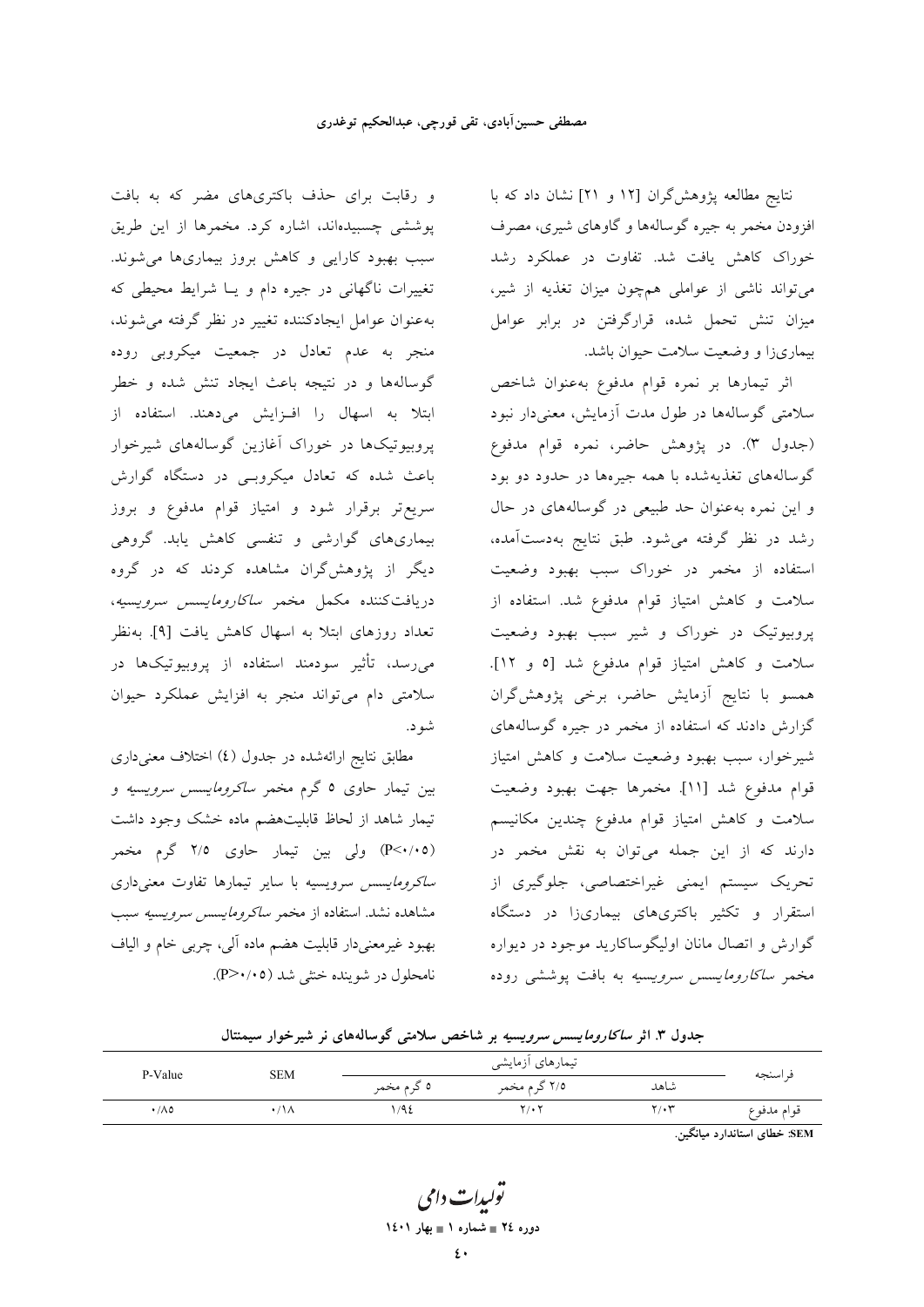نتايج مطالعه پژوهش گران [١٢ و ٢١] نشان داد كه با افزودن مخمر به جیره گوسالهها و گاوهای شیری، مصرف خوراک کاهش یافت شد. تفاوت در عملکرد رشد میتواند ناشی از عواملی همچون میزان تغذیه از شیر، میزان تنش تحمل شده، قرارگرفتن در برابر عوامل بیماریزا و وضعیت سلامت حیوان باشد.

اثر تيمارها بر نمره قوام مدفوع به عنوان شاخص سلامتی گوسالهها در طول مدت آزمایش، معنی دار نبود (جدول ٣). در پژوهش حاضر، نمره قوام مدفوع گوسالههای تغذیهشده با همه جیرهها در حدود دو بود و این نمره به عنوان حد طبیعی در گوسالههای در حال رشد در نظر گرفته می شود. طبق نتایج بهدستآمده، استفاده از مخمر در خوراک سبب بهبود وضعیت سلامت و كاهش امتياز قوام مدفوع شد. استفاده از پروبیوتیک در خوراک و شیر سبب بهبود وضعیت سلامت و کاهش امتیاز قوام مدفوع شد [٥ و ١٢]. همسو با نتايج أزمايش حاضر، برخى پژوهش گران گزارش دادند که استفاده از مخمر در جیره گوسالههای شیرخوار، سبب بهبود وضعیت سلامت و کاهش امتیاز قوام مدفوع شد [١١]. مخمرها جهت بهبود وضعيت سلامت و کاهش امتیاز قوام مدفوع چندین مکانیسم دارند که از این جمله میتوان به نقش مخمر در تحريک سيستم ايمني غيراختصاصي، جلوگيري از استقرار و تکثیر باکتریهای بیماریزا در دستگاه گوارش و اتصال مانان اولیگوساکارید موجود در دیواره مخمر *ساکارومایسس سرویسیه* به بافت یوششی روده

و رقابت برای حذف باکتریهای مضر که به بافت پوششی چسبیدهاند، اشاره کرد. مخمرها از این طریق سبب بهبود کارایی و کاهش بروز بیماریها می شوند. تغییرات ناگهانی در جیره دام و یـا شرایط محیطی که به عنوان عوامل ايجادكننده تغيير در نظر گرفته مي شوند، منجر به عدم تعادل در جمعیت میکروبی روده گوسالهها و در نتیجه باعث ایجاد تنش شده و خطر ابتلا به اسهال را افزایش میدهند. استفاده از پروبیوتیکها در خوراک آغازین گوسالههای شیرخوار باعث شده که تعادل میکروبـی در دستگاه گوارش سریع تر برقرار شود و امتیاز قوام مدفوع و بروز بیماریهای گوارشی و تنفسی کاهش یابد. گروهی دیگر از پژوهش گران مشاهده کردند که در گروه دریافتکننده مکمل مخمر *ساکارومایسس سرویسیه*، تعداد روزهای ابتلا به اسهال کاهش یافت [۹]. بهنظر می٫رسد، تأثیر سودمند استفاده از پروبیوتیکها در سلامتی دام می تواند منجر به افزایش عملکرد حیوان شه د.

مطابق نتایج ارائهشده در جدول (٤) اختلاف معنیداری بین تیمار حاوی ۵ گرم مخمر *ساکرومایسس سرویسیه* و تیمار شاهد از لحاظ قابلیتهضم ماده خشک وجود داشت (P<٠/٠٥) ولي بين تيمار حاوى ٢/٥ گرم مخمر *ساكرومايسس سرويسيه با ساير تيمارها تفاوت معنى دارى* مشاهده نشد. استفاده از مخمر *ساكرومايسس سرويسيه* سبب بهبود غیرمعنیدار قابلیت هضم ماده آلی، چربی خام و الیاف نامحلول در شوينده خشي شد (P>٠/٠٥).

| جنگون ۰٫۰ اگر شاخاروشیشش شرویسیه بر ساختش شارشی توسافههای تر سیر خوار شیشتان |            |             |                  |      |            |  |
|------------------------------------------------------------------------------|------------|-------------|------------------|------|------------|--|
|                                                                              | <b>SEM</b> |             | تیمارهای ازمایشی |      | فر اسنجه   |  |
| P-Value                                                                      |            | ٥ گر م مخمر | ۲/۵ گرم مخمر     | شاهد |            |  |
| ۰/۸٥                                                                         | ۰/۱۸       | 19٤         | ۲٬۰۲             | ۲/۰۳ | قوام مدفوع |  |

حده ل ۳ اثر *ساكاره مايسس سره بسبه* در شاخص سلامتر گوسالههای نر شیرخوار سیمنتال

.<br>SEM: خطای استاندار د سانگین

يولىدا**ت** دامى دوره ٢٤ = شماره ١ = بهار ١٤٠١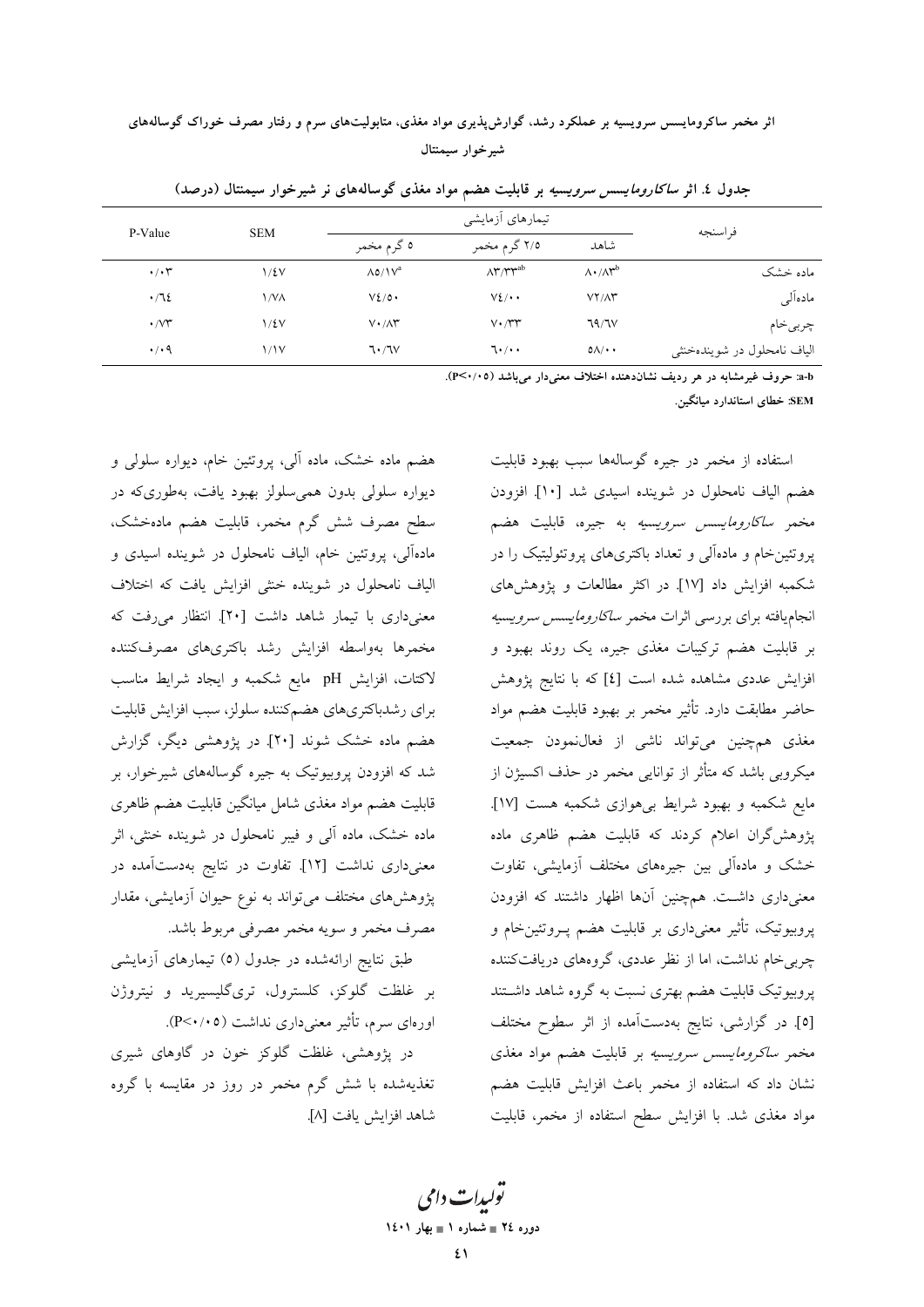اثر مخمر ساکرومایسس سرویسیه بر عملکرد رشد، گوارش پذیری مواد مغذی، متابولیتهای سرم و رفتار مصرف خوراک گوسالههای شيرخوار سيمنتال

| P-Value              | <b>SEM</b> | تیمارهای أزمایشی             |                               |                                    |                            |  |
|----------------------|------------|------------------------------|-------------------------------|------------------------------------|----------------------------|--|
|                      |            | ٥ گرم مخمر                   | ۲/۵ گرم مخمر                  | شاهد                               | فر اسنجه                   |  |
| $\cdot$ / $\cdot$ ۳  | $1/\xi V$  | $\Lambda$ 0/ $V^a$           | $\Lambda^{\mu}/\tau^{\nu ab}$ | $\Lambda \cdot / \Lambda^{\rm ub}$ | ماده خشک                   |  |
| $\cdot$ /72          | ۱/V۸       | $V\S$ /0.                    | $V_{\ell}/\cdots$             | $V\Upsilon/\Lambda\Upsilon$        | مادهآلبي                   |  |
| $\cdot$ / $\vee\tau$ | 1/2V       | $V \cdot / \Lambda^{\omega}$ | $V \cdot / \Upsilon \Upsilon$ | 79/7V                              | چربىخام                    |  |
| $\cdot$ / $\cdot$ 9  | 1/1V       | 7.7V                         | $7 \cdot / \cdot$             | $0 \wedge / \cdot \cdot$           | الیاف نامحلول در شویندهخشی |  |

جدول ٤. اثر *ساكارومايسس سرويسيه* بر قابليت هضم مواد مغذى گوسالههاى نر شيرخوار سيمنتال (درصد)

a-b: حروف غیرمشابه در هر ردیف نشاندهنده اختلاف معنیدار می باشد (P<۰/۰۵).

SEM: خطای استاندارد میانگین.

استفاده از مخمر در جیره گوسالهها سبب بهبود قابلیت هضم الياف نامحلول در شوينده اسيدي شد [١٠]. افزودن مخمر *ساكارومايسس سرويسيه* به جيره، قابليت هضم پروتئینخام و مادهآلی و تعداد باکتریهای پروتئولیتیک را در شکمبه افزایش داد [۱۷]. در اکثر مطالعات و یژوهش های انجاميافته براي بررسي اثرات مخمر *ساكارومايسس سرويسيه* بر قابلیت هضم ترکیبات مغذی جیره، یک روند بهبود و افزایش عددی مشاهده شده است [٤] که با نتایج پژوهش حاضر مطابقت دارد. تأثیر مخمر بر بهبود قابلیت هضم مواد مغذی همچنین میتواند ناشی از فعال $i$ مودن جمعیت میکروبی باشد که متأثر از توانایی مخمر در حذف اکسیژن از مایع شکمبه و بهبود شرایط بیهوازی شکمبه هست [۱۷]. پژوهشگران اعلام کردند که قابلیت هضم ظاهری ماده خشک و مادهآلی بین جیرههای مختلف آزمایشی، تفاوت معنیداری داشت. همچنین آنها اظهار داشتند که افزودن پروبیوتیک، تأثیر معنیداری بر قابلیت هضم پــروتئینخام و چربی خام نداشت، اما از نظر عددی، گروههای دریافتکننده پروبیوتیک قابلیت هضم بهتری نسبت به گروه شاهد داشتند [٥]. در گزارشی، نتایج بهدستآمده از اثر سطوح مختلف مخمر *ساکرومایسس سرویسیه* بر قابلیت هضم مواد مغذی نشان داد که استفاده از مخمر باعث افزایش قابلیت هضم مواد مغذی شد. با افزایش سطح استفاده از مخمر، قابلیت

هضم ماده خشک، ماده آلی، پروتئین خام، دیواره سلولی و ديواره سلولي بدون همي سلولز بهبود يافت، بهطوريكه در سطح مصرف شش گرم مخمر، قابلیت هضم مادهخشک، مادهآلی، پروتئین خام، الیاف نامحلول در شوینده اسیدی و الیاف نامحلول در شوینده خشی افزایش یافت که اختلاف معنیداری با تیمار شاهد داشت [۲۰]. انتظار میرفت که مخمرها بهواسطه افزايش رشد باكترىهاى مصرفكننده لاكتات، افزايش pH مايع شكمبه و ايجاد شرايط مناسب براي رشدباكترىهاى هضمكننده سلولز، سبب افزايش قابليت هضم ماده خشک شوند [۲۰]. در پژوهشی دیگر، گزارش شد که افزودن پروبیوتیک به جیره گوسالههای شیرخوار، بر قابلیت هضم مواد مغذی شامل میانگین قابلیت هضم ظاهری ماده خشک، ماده آلی و فیبر نامحلول در شوینده خنثی، اثر معنیداری نداشت [۱۲]. تفاوت در نتایج بهدستآمده در پژوهشهای مختلف میتواند به نوع حیوان آزمایشی، مقدار مصرف مخمر و سويه مخمر مصرفى مربوط باشد.

طبق نتایج ارائهشده در جدول (٥) تیمارهای آزمایشی بر غلظت گلوکز، کلسترول، تریگلیسیرید و نیتروژن اورهای سرم، تأثیر معنی داری نداشت (۴/۰/۰۵).

در پژوهشی، غلظت گلوکز خون در گاوهای شیری تغذیهشده با شش گرم مخمر در روز در مقایسه با گروه شاهد افزايش يافت [٨].

> تولیدات دامی دوره ٢٤ ∎ شماره ١ ∎ بهار ١٤٠١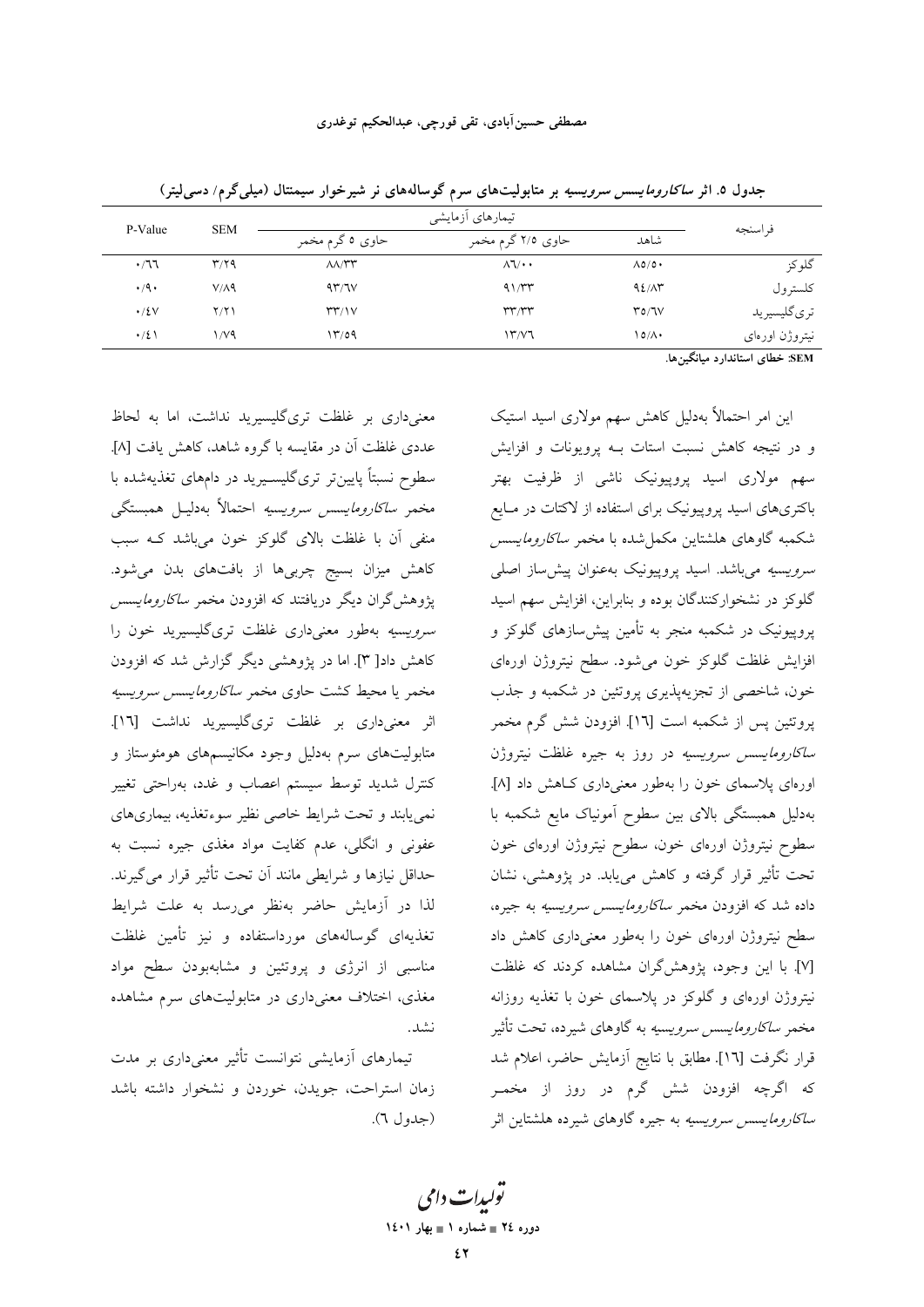|                                                                                                                 |                  | تیمارهای أزمایشی                                     |                                   |      |                       |
|-----------------------------------------------------------------------------------------------------------------|------------------|------------------------------------------------------|-----------------------------------|------|-----------------------|
| فر اسنجه                                                                                                        | شاهد             | حاوی ۲/۵ گرم مخمر                                    | حاوي ٥ گرم مخمر                   |      | <b>SEM</b><br>P-Value |
| گلوكز                                                                                                           | $\Lambda$ 0/0 +  | $\Lambda$ $\Lambda$ $\cdot$ $\cdot$                  | $\Lambda\Lambda/\Upsilon\Upsilon$ | T/Y  | .77                   |
| كلسترول                                                                                                         | 92/17            | 41/rr                                                | 47/7V                             | V/A9 | $\cdot$ /9 $\cdot$    |
| ترىگليسيريد                                                                                                     | T0/TV            | $\mathsf{r}\mathsf{r}\mathsf{r}\mathsf{r}\mathsf{r}$ | $\Upsilon\Upsilon/\Upsilon$       | Y/Y  | $\cdot$ /٤٧           |
| نيتروژن اورەاي                                                                                                  | $\Omega/\Lambda$ | ۱۳/۷٦                                                | ۱۳/٥۹                             | ۷۷۹/ | $\cdot/2$             |
| the contract of the contract of the contract of the contract of the contract of the contract of the contract of |                  |                                                      |                                   |      |                       |

جدول ۵. اثر *ساکارومایسس سرویسیه* بر متابولیتهای سرم گوسالههای نر شیرخوار سیمنتال (میل*ی گ*رم/ دسی[یتر)

معنیداری بر غلظت تریگلیسیرید نداشت، اما به لحاظ عددی غلظت آن در مقایسه با گروه شاهد، کاهش یافت [۸]. سطوح نسبتاً پایینتر تریگلیسـیرید در دامهای تغذیهشده با مخمر *ساكارومايسس سرويسيه* احتمالاً بەدليـل همبستگى منفی آن با غلظت بالای گلوکز خون میباشد کـه سبب کاهش میزان بسیج چربیها از بافتهای بدن می شود. پژوهشگران دیگر دریافتند که افزودن مخمر *ساکارومایسس سرویسیه* بهطور معنیداری غلظت تریگلیسیرید خون را کاهش داد[ ۳]. اما در پژوهشی دیگر گزارش شد که افزودن مخمر یا محیط کشت حاوی مخمر *ساکارومایسس سرویسیه* اثر معنیداری بر غلظت تریگلیسیرید نداشت [١٦]. متابولیتهای سرم بهدلیل وجود مکانیسمهای هومئوستاز و کنترل شدید توسط سیستم اعصاب و غدد، بهراحتی تغییر نمي يابند و تحت شرايط خاصي نظير سوءتغذيه، بيماريهاي عفوني و انگلي، عدم كفايت مواد مغذي جيره نسبت به حداقل نیازها و شرایطی مانند آن تحت تأثیر قرار می گیرند. لذا در آزمایش حاضر بهنظر می رسد به علت شرایط تغذیهای گوسالههای مورداستفاده و نیز تأمین غلظت مناسبی از انرژی و پروتئین و مشابهبودن سطح مواد مغذی، اختلاف معنی داری در متابولیتهای سرم مشاهده نشد.

تیمارهای آزمایشی نتوانست تأثیر معنیداری بر مدت زمان استراحت، جويدن، خوردن و نشخوار داشته باشد (جدول ٦). SEM: خطای استاندارد میانگین۵ا.

این امر احتمالاً بهدلیل کاهش سهم مولاری اسید استیک و در نتیجه کاهش نسبت استات بـه پرویونات و افزایش سهم مولاری اسید پروپیونیک ناشی از ظرفیت بهتر باکتریهای اسید پروپیونیک برای استفاده از لاکتات در مـایع شکمبه گاوهای هلشتاین مکمل شده با مخمر *ساکارومایسس سرویسیه می*باشد. اسید پروییونیک بهعنوان پیش ساز اصلی گلوکز در نشخوارکنندگان بوده و بنابراین، افزایش سهم اسید پروپیونیک در شکمبه منجر به تأمین پیش سازهای گلوکز و افزایش غلظت گلوکز خون میشود. سطح نیتروژن اورهای خون، شاخصی از تجزیهپذیری پروتئین در شکمبه و جذب يروتئين پس از شكمبه است [١٦]. افزودن شش گرم مخمر *ساکارومایسس سرویسیه* در روز به جیره غلظت نیتروژن اورهای پلاسمای خون را بهطور معنیداری کاهش داد [۸]. بهدلیل همبستگی بالای بین سطوح آمونیاک مایع شکمبه با سطوح نيتروژن اورهاى خون، سطوح نيتروژن اورهاى خون تحت تأثیر قرار گرفته و کاهش می یابد. در پژوهشی، نشان داده شد که افزودن مخمر *ساکارومایسس سرویسیه* به جیره، سطح نیتروژن اورهای خون را بهطور معنیداری کاهش داد [۷]. با این وجود، یژوهش گران مشاهده کردند که غلظت نیتروژن اورەای و گلوکز در پلاسمای خون با تغذیه روزانه مخمر *ساکارومایسس سرویسیه* به گاوهای شیرده، تحت تأثیر قرار نگرفت [١٦]. مطابق با نتايج أزمايش حاضر، اعلام شد که اگرچه افزودن شش گرم در روز از مخمـر *ساكارومايسس سرويسيه* به جيره گاوهاى شيرده هلشتاين اثر

تو*لیدات دامی* دوره ٢٤ = شماره ١ = بهار ١٤٠١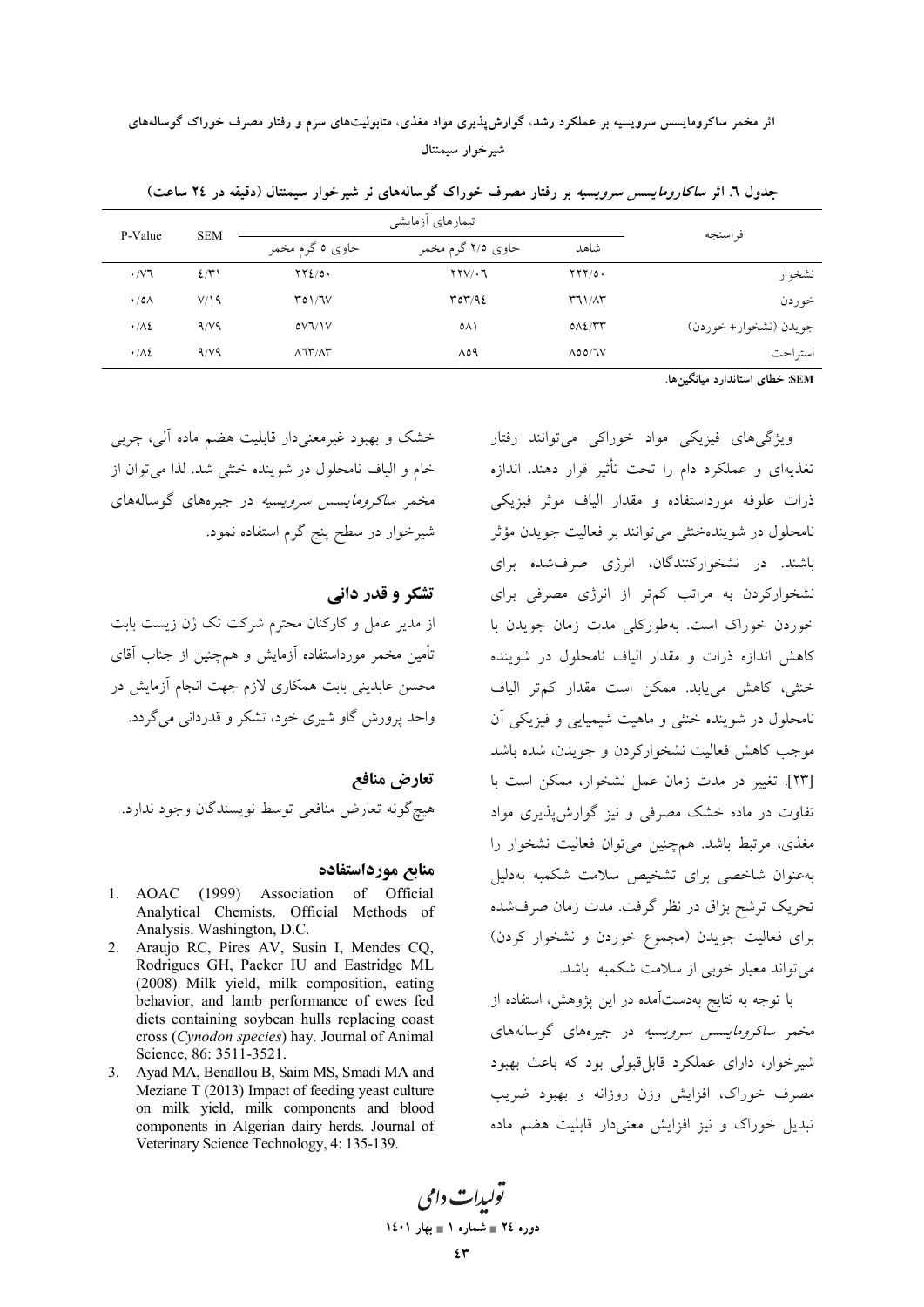اثر مخمر ساکرومایسس سرویسیه بر عملکرد رشد، گوارش پذیری مواد مغذی، متابولیتهای سرم و رفتار مصرف خوراک گوسالههای شيرخوار سيمنتال

|                             |                 | تیمارهای أزمایشی                |                                   |                                                      | فر اسنجه              |
|-----------------------------|-----------------|---------------------------------|-----------------------------------|------------------------------------------------------|-----------------------|
| <b>SEM</b><br>P-Value       | حاوي ٥ گرم مخمر | حاوي ٢/٥ گرم مخمر               | شاهد                              |                                                      |                       |
| $\cdot$ / $\vee$ $\uparrow$ | $2/\tilde{r}$   | $\Upsilon\Upsilon\Omega/\Omega$ | $\Upsilon \Upsilon \vee \Upsilon$ | YYY/O                                                | نشخوار                |
| $\cdot$ /0 $\wedge$         | V/19            | $Y_0 \frac{1}{1} V$             | $\Gamma$ or $/92$                 | $\uparrow$ $\uparrow$ $\uparrow$ $\wedge$ $\uparrow$ | خو ردن                |
| $\cdot/\lambda$             | 4/19            | oV1/V                           | ٥٨١                               | $0\lambda$                                           | جويدن (نشخوار+ خوردن) |
| $\cdot/\lambda$             | 9/19            | $\lambda$ $\lambda$ $\gamma$    | 809                               | $\Lambda$ 00/JV                                      | استر احت              |

جدول ٦. اثر *ساکارومایسس سرویسیه* بر رفتار مصرف خوراک گوسالههای نر شیرخوار سیمنتال (دقیقه در ٢٤ ساعت)

SEM: خطای استاندارد میانگینها.

ویژگے های فیزیکی مواد خوراکی می توانند رفتار تغذیهای و عملکرد دام را تحت تأثیر قرار دهند. اندازه ذرات علوفه مورداستفاده و مقدار الياف موثر فيزيكي نامحلول در شویندهخنثی میتوانند بر فعالیت جویدن مؤثر باشند. در نشخوارکنندگان، انرژی صرفشده برای نشخوارکردن به مراتب کمتر از انرژی مصرفی برای .<br>خوردن خوراک است. بهطورکل<sub>ی</sub> مدت زمان جویدن با کاهش اندازه ذرات و مقدار الیاف نامحلول در شوینده خنثی، کاهش می یابد. ممکن است مقدار کمتر الیاف نامحلول در شوینده خنثی و ماهیت شیمیایی و فیزیکی آن موجب كاهش فعاليت نشخواركردن و جويدن، شده باشد [٢٣]. تغيير در مدت زمان عمل نشخوار، ممكن است با تفاوت در ماده خشک مصرفی و نیز گوارش پذیری مواد مغذی، مرتبط باشد. همچنین می توان فعالیت نشخوار را بهعنوان شاخصى براى تشخيص سلامت شكمبه بهدليل تحریک ترشح بزاق در نظر گرفت. مدت زمان صرفشده برای فعالیت جویدن (مجموع خوردن و نشخوار کردن) می تواند معیار خوبی از سلامت شکمبه باشد.

با توجه به نتایج بهدستآمده در این پژوهش، استفاده از مخمر *ساکرومایسس سرویسیه* در جیرههای گوسالههای شير خوار، داراي عملكرد قابل قبولي بود كه باعث بهبود مصرف خوراک، افزایش وزن روزانه و بهبود ضریب تبدیل خوراک و نیز افزایش معنیدار قابلیت هضم ماده

خشک و بھبود غیرمعنے دار قابلیت هضم ماده آلی، چربی خام و الياف نامحلول در شوينده خنثي شد. لذا مي توان از مخمر *ساکرومایسس سرویسیه* در جیرههای گوسالههای شیرخوار در سطح پنج گرم استفاده نمود.

### تشکر و قدر دانی

از مدیر عامل و کارکنان محترم شرکت تک ژن زیست بابت تأمین مخمر مورداستفاده آزمایش و همچنین از جناب آقای محسن عابدینی بابت همکاری لازم جهت انجام آزمایش در واحد پرورش گاو شيږي خود، تشکر و قدردانې مې گړدد.

تعارض منافع هيچگونه تعارض منافعي توسط نويسندگان وجود ندارد.

#### منابع مورداستفاده

- 1. AOAC (1999) Association of Official Analytical Chemists. Official Methods of Analysis. Washington, D.C.
- 2. Araujo RC, Pires AV, Susin I, Mendes CQ, Rodrigues GH, Packer IU and Eastridge ML (2008) Milk yield, milk composition, eating behavior, and lamb performance of ewes fed diets containing soybean hulls replacing coast cross (Cynodon species) hay. Journal of Animal Science, 86: 3511-3521.
- 3. Ayad MA, Benallou B, Saim MS, Smadi MA and Meziane T (2013) Impact of feeding yeast culture on milk yield, milk components and blood components in Algerian dairy herds. Journal of Veterinary Science Technology, 4: 135-139.

تو*ليدات دامي* دوره ٢٤ = شماره ١ = بهار ١٤٠١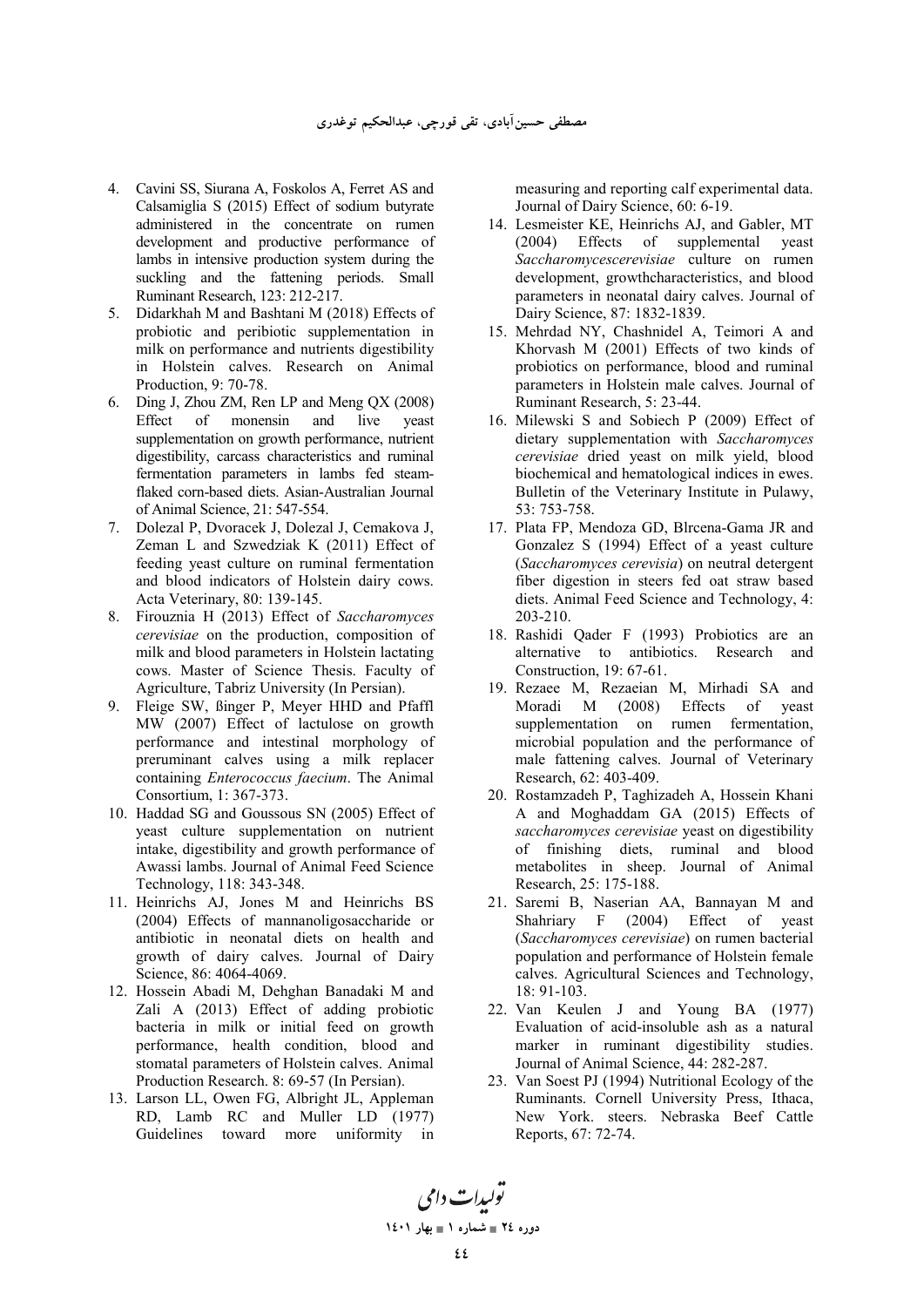- 4. Cavini SS, Siurana A, Foskolos A, Ferret AS and Calsamiglia S (2015) Effect of sodium butyrate administered in the concentrate on rumen development and productive performance of lambs in intensive production system during the suckling and the fattening periods. Small Ruminant Research, 123: 212-217.
- 5. Didarkhah M and Bashtani M (2018) Effects of probiotic and peribiotic supplementation in milk on performance and nutrients digestibility in Holstein calves. Research on Animal Production, 9: 70-78.
- 6. Ding J, Zhou ZM, Ren LP and Meng QX (2008) of monensin and live yeast supplementation on growth performance, nutrient digestibility, carcass characteristics and ruminal fermentation parameters in lambs fed steamflaked corn-based diets. Asian-Australian Journal of Animal Science, 21: 547-554.
- 7. Dolezal P, Dvoracek J, Dolezal J, Cemakova J, Zeman L and Szwedziak K (2011) Effect of feeding yeast culture on ruminal fermentation and blood indicators of Holstein dairy cows. Acta Veterinary, 80: 139-145.
- 8. Firouznia H (2013) Effect of *Saccharomyces cerevisiae* on the production, composition of milk and blood parameters in Holstein lactating cows. Master of Science Thesis. Faculty of Agriculture, Tabriz University (In Persian).
- 9. Fleige SW, ßinger P, Meyer HHD and Pfaffl MW (2007) Effect of lactulose on growth performance and intestinal morphology of preruminant calves using a milk replacer containing *Enterococcus faecium*. The Animal Consortium, 1: 367-373.
- 10. Haddad SG and Goussous SN (2005) Effect of yeast culture supplementation on nutrient intake, digestibility and growth performance of Awassi lambs. Journal of Animal Feed Science Technology, 118: 343-348.
- 11. Heinrichs AJ, Jones M and Heinrichs BS (2004) Effects of mannanoligosaccharide or antibiotic in neonatal diets on health and growth of dairy calves. Journal of Dairy Science, 86: 4064-4069.
- 12. Hossein Abadi M, Dehghan Banadaki M and Zali A (2013) Effect of adding probiotic bacteria in milk or initial feed on growth performance, health condition, blood and stomatal parameters of Holstein calves. Animal Production Research. 8: 69-57 (In Persian).
- 13. Larson LL, Owen FG, Albright JL, Appleman RD, Lamb RC and Muller LD (1977) Guidelines toward more uniformity in

measuring and reporting calf experimental data. Journal of Dairy Science, 60: 6-19.

- 14. Lesmeister KE, Heinrichs AJ, and Gabler, MT (2004) Effects of supplemental yeast *Saccharomycescerevisiae* culture on rumen development, growthcharacteristics, and blood parameters in neonatal dairy calves. Journal of Dairy Science, 87: 1832-1839.
- 15. Mehrdad NY, Chashnidel A, Teimori A and Khorvash M (2001) Effects of two kinds of probiotics on performance, blood and ruminal parameters in Holstein male calves. Journal of Ruminant Research, 5: 23-44.
- 16. Milewski S and Sobiech P (2009) Effect of dietary supplementation with *Saccharomyces cerevisiae* dried yeast on milk yield, blood biochemical and hematological indices in ewes. Bulletin of the Veterinary Institute in Pulawy, 53: 753-758.
- 17. Plata FP, Mendoza GD, Blrcena-Gama JR and Gonzalez S (1994) Effect of a yeast culture (*Saccharomyces cerevisia*) on neutral detergent fiber digestion in steers fed oat straw based diets. Animal Feed Science and Technology, 4: 203-210.
- 18. Rashidi Qader F (1993) Probiotics are an alternative to antibiotics. Research and Construction, 19: 67-61.
- 19. Rezaee M, Rezaeian M, Mirhadi SA and Moradi M (2008) Effects of yeast supplementation on rumen fermentation, microbial population and the performance of male fattening calves. Journal of Veterinary Research, 62: 403-409.
- 20. Rostamzadeh P, Taghizadeh A, Hossein Khani A and Moghaddam GA (2015) Effects of *saccharomyces cerevisiae* yeast on digestibility of finishing diets, ruminal and blood metabolites in sheep. Journal of Animal Research, 25: 175-188.
- 21. Saremi B, Naserian AA, Bannayan M and Shahriary F (2004) Effect of yeast (*Saccharomyces cerevisiae*) on rumen bacterial population and performance of Holstein female calves. Agricultural Sciences and Technology, 18: 91-103.
- 22. Van Keulen J and Young BA (1977) Evaluation of acid-insoluble ash as a natural marker in ruminant digestibility studies. Journal of Animal Science, 44: 282-287.
- 23. Van Soest PJ (1994) Nutritional Ecology of the Ruminants. Cornell University Press, Ithaca, New York. steers. Nebraska Beef Cattle Reports, 67: 72-74.

تو<sub>لیدا</sub>ت دامی **1401 
1 - 24 -**